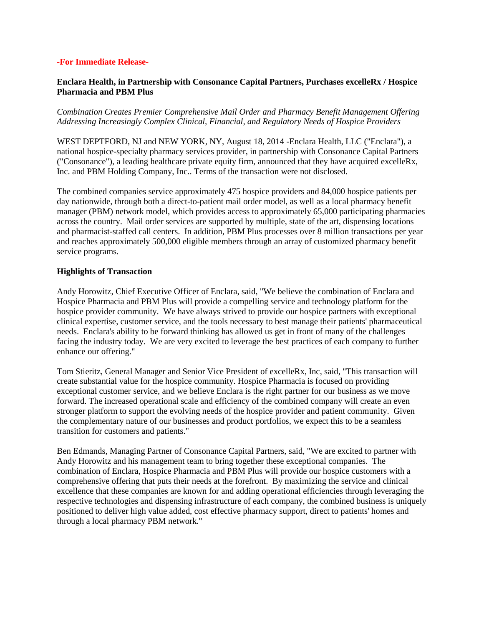## **-For Immediate Release-**

# **Enclara Health, in Partnership with Consonance Capital Partners, Purchases excelleRx / Hospice Pharmacia and PBM Plus**

*Combination Creates Premier Comprehensive Mail Order and Pharmacy Benefit Management Offering Addressing Increasingly Complex Clinical, Financial, and Regulatory Needs of Hospice Providers*

WEST DEPTFORD, NJ and NEW YORK, NY, August 18, 2014 -Enclara Health, LLC ("Enclara"), a national hospice-specialty pharmacy services provider, in partnership with Consonance Capital Partners ("Consonance"), a leading healthcare private equity firm, announced that they have acquired excelleRx, Inc. and PBM Holding Company, Inc.. Terms of the transaction were not disclosed.

The combined companies service approximately 475 hospice providers and 84,000 hospice patients per day nationwide, through both a direct-to-patient mail order model, as well as a local pharmacy benefit manager (PBM) network model, which provides access to approximately 65,000 participating pharmacies across the country. Mail order services are supported by multiple, state of the art, dispensing locations and pharmacist-staffed call centers. In addition, PBM Plus processes over 8 million transactions per year and reaches approximately 500,000 eligible members through an array of customized pharmacy benefit service programs.

## **Highlights of Transaction**

Andy Horowitz, Chief Executive Officer of Enclara, said, "We believe the combination of Enclara and Hospice Pharmacia and PBM Plus will provide a compelling service and technology platform for the hospice provider community. We have always strived to provide our hospice partners with exceptional clinical expertise, customer service, and the tools necessary to best manage their patients' pharmaceutical needs. Enclara's ability to be forward thinking has allowed us get in front of many of the challenges facing the industry today. We are very excited to leverage the best practices of each company to further enhance our offering."

Tom Stieritz, General Manager and Senior Vice President of excelleRx, Inc, said, "This transaction will create substantial value for the hospice community. Hospice Pharmacia is focused on providing exceptional customer service, and we believe Enclara is the right partner for our business as we move forward. The increased operational scale and efficiency of the combined company will create an even stronger platform to support the evolving needs of the hospice provider and patient community. Given the complementary nature of our businesses and product portfolios, we expect this to be a seamless transition for customers and patients."

Ben Edmands, Managing Partner of Consonance Capital Partners, said, "We are excited to partner with Andy Horowitz and his management team to bring together these exceptional companies. The combination of Enclara, Hospice Pharmacia and PBM Plus will provide our hospice customers with a comprehensive offering that puts their needs at the forefront. By maximizing the service and clinical excellence that these companies are known for and adding operational efficiencies through leveraging the respective technologies and dispensing infrastructure of each company, the combined business is uniquely positioned to deliver high value added, cost effective pharmacy support, direct to patients' homes and through a local pharmacy PBM network."